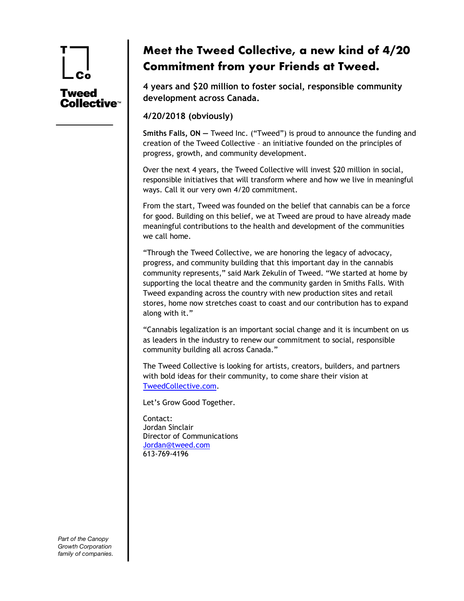# **Tweed** Collective™

## **Meet the Tweed Collective, a new kind of 4/20 Commitment from your Friends at Tweed.**

**4 years and \$20 million to foster social, responsible community development across Canada.**

**4/20/2018 (obviously)**

**Smiths Falls, ON —** Tweed Inc. ("Tweed") is proud to announce the funding and creation of the Tweed Collective – an initiative founded on the principles of progress, growth, and community development.

Over the next 4 years, the Tweed Collective will invest \$20 million in social, responsible initiatives that will transform where and how we live in meaningful ways. Call it our very own 4/20 commitment.

From the start, Tweed was founded on the belief that cannabis can be a force for good. Building on this belief, we at Tweed are proud to have already made meaningful contributions to the health and development of the communities we call home.

"Through the Tweed Collective, we are honoring the legacy of advocacy, progress, and community building that this important day in the cannabis community represents," said Mark Zekulin of Tweed. "We started at home by supporting the local theatre and the community garden in Smiths Falls. With Tweed expanding across the country with new production sites and retail stores, home now stretches coast to coast and our contribution has to expand along with it."

"Cannabis legalization is an important social change and it is incumbent on us as leaders in the industry to renew our commitment to social, responsible community building all across Canada."

The Tweed Collective is looking for artists, creators, builders, and partners with bold ideas for their community, to come share their vision at TweedCollective.com.

Let's Grow Good Together.

Contact: Jordan Sinclair Director of Communications Jordan@tweed.com 613-769-4196

*Part of the Canopy Growth Corporation family of companies.*